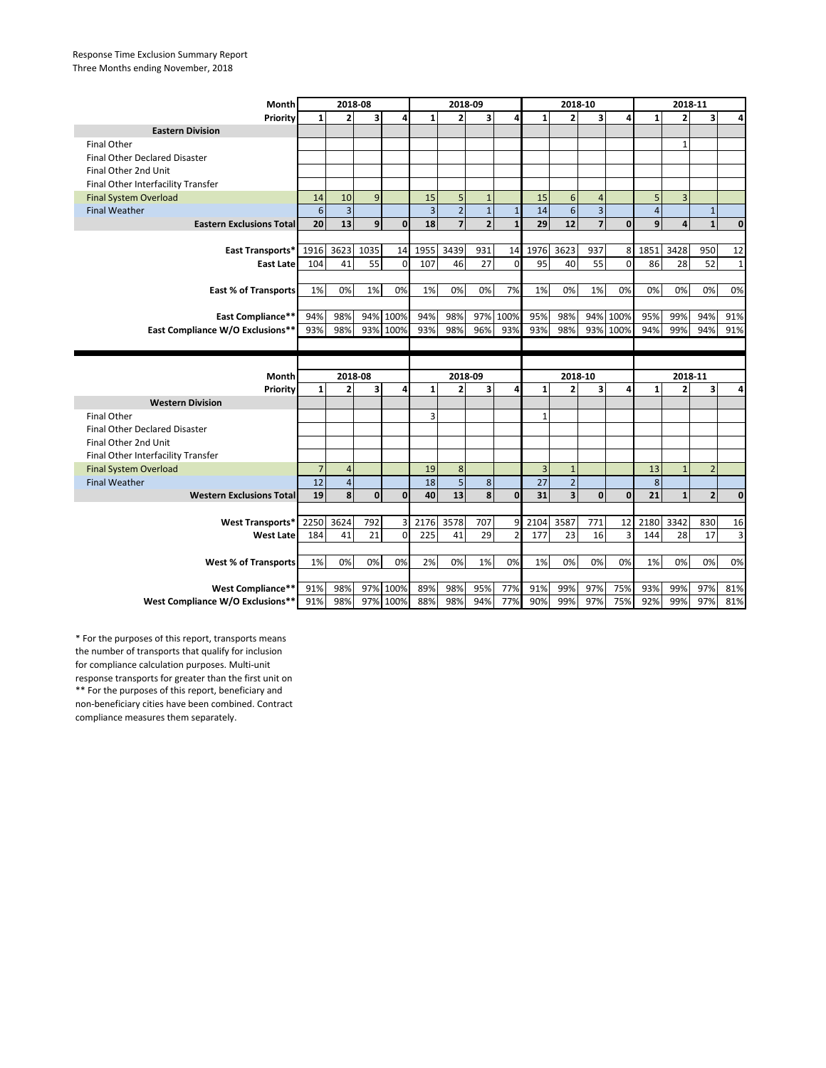## Response Time Exclusion Summary Report Three Months ending November, 2018

| Month                                                 | 2018-08        |                |                         |              | 2018-09        |                |                |              | 2018-10        |                         |                         |             | 2018-11        |                |                |              |
|-------------------------------------------------------|----------------|----------------|-------------------------|--------------|----------------|----------------|----------------|--------------|----------------|-------------------------|-------------------------|-------------|----------------|----------------|----------------|--------------|
| Priority                                              |                | $\overline{2}$ | 3                       | 4            | $\mathbf{1}$   | $\overline{2}$ | 3              | 4            | $\mathbf{1}$   | $\overline{2}$          | 3                       | 4           | $\mathbf{1}$   | $\overline{2}$ | 3              | 4            |
| <b>Eastern Division</b>                               |                |                |                         |              |                |                |                |              |                |                         |                         |             |                |                |                |              |
| <b>Final Other</b>                                    |                |                |                         |              |                |                |                |              |                |                         |                         |             |                | $\mathbf{1}$   |                |              |
| <b>Final Other Declared Disaster</b>                  |                |                |                         |              |                |                |                |              |                |                         |                         |             |                |                |                |              |
| Final Other 2nd Unit                                  |                |                |                         |              |                |                |                |              |                |                         |                         |             |                |                |                |              |
| Final Other Interfacility Transfer                    |                |                |                         |              |                |                |                |              |                |                         |                         |             |                |                |                |              |
| <b>Final System Overload</b>                          | 14             | 10             | 9                       |              | 15             | 5              | $\mathbf{1}$   |              | 15             | 6                       | $\overline{4}$          |             | 5              | $\overline{3}$ |                |              |
| <b>Final Weather</b>                                  | 6              | $\overline{3}$ |                         |              | $\overline{3}$ | $\overline{2}$ | $\overline{1}$ | $\mathbf{1}$ | 14             | 6                       | $\overline{\mathbf{3}}$ |             | $\overline{4}$ |                | $\mathbf{1}$   |              |
| <b>Eastern Exclusions Total</b>                       | 20             | 13             | 9                       | $\mathbf 0$  | 18             | $\overline{7}$ | $\overline{2}$ | $\mathbf{1}$ | 29             | 12                      | $\overline{7}$          | $\mathbf 0$ | 9              | 4              | $\mathbf{1}$   | $\mathbf{0}$ |
|                                                       |                |                |                         |              |                |                |                |              |                |                         |                         |             |                |                |                |              |
| East Transports*                                      | 1916           | 3623           | 1035                    | 14           | 1955           | 3439           | 931            | 14           | 1976           | 3623                    | 937                     | 8           | 1851           | 3428           | 950            | 12           |
| <b>East Late</b>                                      | 104            | 41             | 55                      | $\mathbf 0$  | 107            | 46             | 27             | $\Omega$     | 95             | 40                      | 55                      | $\mathbf 0$ | 86             | 28             | 52             | $\mathbf{1}$ |
|                                                       |                |                |                         |              |                |                |                |              |                |                         |                         |             |                |                |                |              |
| <b>East % of Transports</b>                           | 1%             | 0%             | 1%                      | 0%           | 1%             | 0%             | 0%             | 7%           | 1%             | 0%                      | 1%                      | 0%          | 0%             | 0%             | 0%             | 0%           |
|                                                       |                |                |                         |              |                |                |                |              |                |                         |                         |             |                |                |                |              |
| <b>East Compliance**</b>                              | 94%            | 98%            | 94%                     | 100%         | 94%            | 98%            | 97%            | 100%         | 95%            | 98%                     | 94%                     | 100%        | 95%            | 99%            | 94%            | 91%          |
| East Compliance W/O Exclusions**                      | 93%            | 98%            | 93% 100%                |              | 93%            | 98%            | 96%            | 93%          | 93%            | 98%                     | 93%                     | 100%        | 94%            | 99%            | 94%            | 91%          |
|                                                       |                |                |                         |              |                |                |                |              |                |                         |                         |             |                |                |                |              |
|                                                       |                |                |                         |              |                |                |                |              |                |                         |                         |             |                |                |                |              |
|                                                       |                |                |                         |              |                |                |                |              |                |                         |                         |             |                |                |                |              |
| Month                                                 |                | 2018-08        |                         |              |                | 2018-09        |                |              |                | 2018-10                 |                         |             |                | 2018-11        |                |              |
| Priority                                              | $\mathbf{1}$   | $\overline{2}$ | $\overline{\mathbf{3}}$ | 4            | $\mathbf{1}$   | $\overline{2}$ | 3              | 4            | $\mathbf{1}$   | $\overline{2}$          | $\overline{\mathbf{3}}$ | 4           | $\mathbf{1}$   | $\overline{2}$ | 3              | 4            |
| <b>Western Division</b>                               |                |                |                         |              |                |                |                |              |                |                         |                         |             |                |                |                |              |
| <b>Final Other</b>                                    |                |                |                         |              | 3              |                |                |              | 1              |                         |                         |             |                |                |                |              |
| <b>Final Other Declared Disaster</b>                  |                |                |                         |              |                |                |                |              |                |                         |                         |             |                |                |                |              |
| Final Other 2nd Unit                                  |                |                |                         |              |                |                |                |              |                |                         |                         |             |                |                |                |              |
| Final Other Interfacility Transfer                    |                |                |                         |              |                |                |                |              |                |                         |                         |             |                |                |                |              |
| <b>Final System Overload</b>                          | $\overline{7}$ | $\overline{4}$ |                         |              | 19             | 8              |                |              | $\overline{3}$ | $\mathbf{1}$            |                         |             | 13             | $\mathbf{1}$   | $\overline{2}$ |              |
| <b>Final Weather</b>                                  | 12             | $\sqrt{4}$     |                         |              | 18             | 5              | 8              |              | 27             | $\overline{2}$          |                         |             | 8              |                |                |              |
| <b>Western Exclusions Total</b>                       | 19             | 8              | $\mathbf{0}$            | $\mathbf{0}$ | 40             | 13             | 8              | 0            | 31             | $\overline{\mathbf{3}}$ | $\mathbf{0}$            | $\mathbf 0$ | 21             | $\mathbf{1}$   | $\overline{2}$ | $\mathbf{0}$ |
|                                                       |                |                |                         |              |                |                |                |              |                |                         |                         |             |                |                |                |              |
| <b>West Transports*</b>                               | 2250           | 3624           | 792                     | 3            | 2176           | 3578           | 707            | 9            | 2104           | 3587                    | 771                     | 12          | 2180           | 3342           | 830            | 16           |
| <b>West Late</b>                                      | 184            | 41             | 21                      | $\mathbf 0$  | 225            | 41             | 29             |              | 177            | 23                      | 16                      | 3           | 144            | 28             | 17             | 3            |
|                                                       |                |                |                         |              |                |                |                |              |                |                         |                         |             |                |                |                |              |
| <b>West % of Transports</b>                           | 1%             | 0%             | 0%                      | 0%           | 2%             | 0%             | 1%             | 0%           | 1%             | 0%                      | 0%                      | 0%          | 1%             | 0%             | 0%             | 0%           |
|                                                       |                |                |                         |              |                |                |                |              |                |                         |                         |             |                |                |                |              |
| West Compliance**<br>West Compliance W/O Exclusions** | 91%<br>91%     | 98%<br>98%     | 97%<br>97%              | 100%<br>100% | 89%<br>88%     | 98%<br>98%     | 95%<br>94%     | 77%<br>77%   | 91%<br>90%     | 99%<br>99%              | 97%<br>97%              | 75%<br>75%  | 93%<br>92%     | 99%<br>99%     | 97%<br>97%     | 81%<br>81%   |

\*\* For the purposes of this report, beneficiary and non-beneficiary cities have been combined. Contract compliance measures them separately. \* For the purposes of this report, transports means the number of transports that qualify for inclusion for compliance calculation purposes. Multi-unit response transports for greater than the first unit on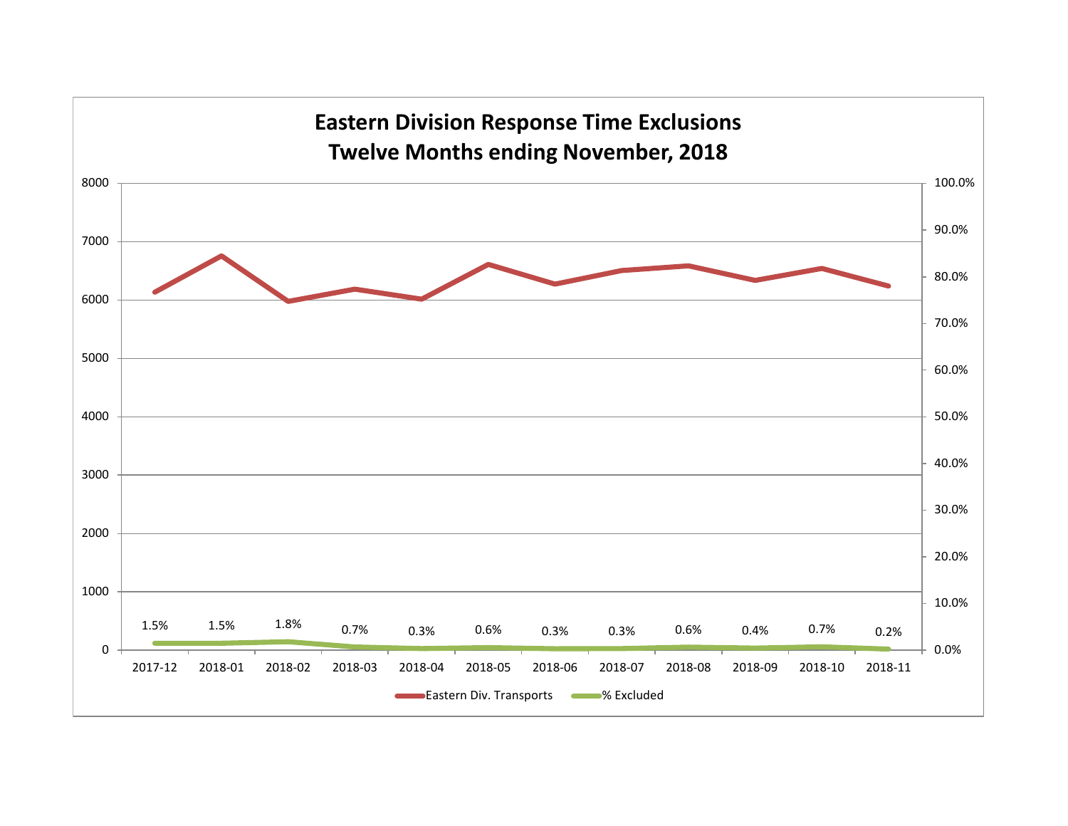